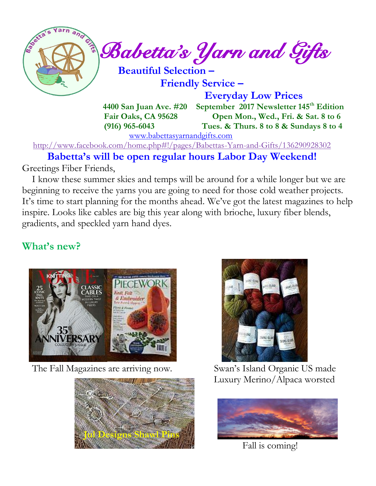

 **Friendly Service –**

 **Everyday Low Prices**

 **4400 San Juan Ave. #20 September 2017 Newsletter 145 th Edition Fair Oaks, CA 95628 Open Mon., Wed., Fri. & Sat. 8 to 6 (916) 965-6043 Tues. & Thurs. 8 to 8 & Sundays 8 to 4** 

[www.babettasyarnandgifts.com](http://www.babettasyarnandgifts.com/)

<http://www.facebook.com/home.php#!/pages/Babettas-Yarn-and-Gifts/136290928302>

 **Babetta's will be open regular hours Labor Day Weekend!** Greetings Fiber Friends,

I know these summer skies and temps will be around for a while longer but we are

beginning to receive the yarns you are going to need for those cold weather projects. It's time to start planning for the months ahead. We've got the latest magazines to help inspire. Looks like cables are big this year along with brioche, luxury fiber blends, gradients, and speckled yarn hand dyes.

# **What's new?**



The Fall Magazines are arriving now. Swan's Island Organic US made





Luxury Merino/Alpaca worsted



Fall is coming!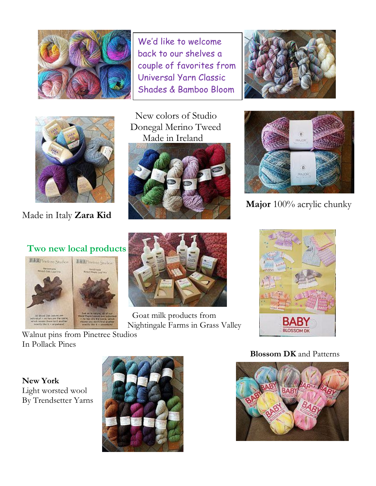

We'd like to welcome back to our shelves a couple of favorites from Universal Yarn Classic Shades & Bamboo Bloom





Made in Italy **Zara Kid**

 New colors of Studio Donegal Merino Tweed Made in Ireland





**Major** 100% acrylic chunky

### **Two new local products**





Goat milk products from Nightingale Farms in Grass Valley



In Pollack Pines

Walnut pins from Pinetree Studios

**New York** Light worsted wool By Trendsetter Yarns



**Blossom DK** and Patterns

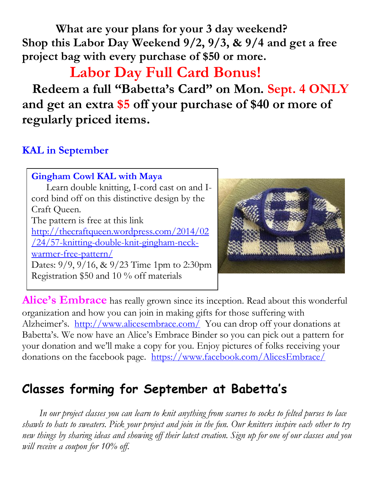**What are your plans for your 3 day weekend? Shop this Labor Day Weekend 9/2, 9/3, & 9/4 and get a free project bag with every purchase of \$50 or more.**

 **Labor Day Full Card Bonus!**

 **Redeem a full "Babetta's Card" on Mon. Sept. 4 ONLY and get an extra \$5 off your purchase of \$40 or more of regularly priced items.**

# **KAL in September**

**Gingham Cowl KAL with Maya** Learn double knitting, I-cord cast on and Icord bind off on this distinctive design by the Craft Queen. The pattern is free at this link [http://thecraftqueen.wordpress.com/2014/02](http://thecraftqueen.wordpress.com/2014/02/24/57-knitting-double-knit-gingham-neck-warmer-free-pattern/) [/24/57-knitting-double-knit-gingham-neck](http://thecraftqueen.wordpress.com/2014/02/24/57-knitting-double-knit-gingham-neck-warmer-free-pattern/)[warmer-free-pattern/](http://thecraftqueen.wordpress.com/2014/02/24/57-knitting-double-knit-gingham-neck-warmer-free-pattern/) Dates: 9/9, 9/16, & 9/23 Time 1pm to 2:30pm Registration \$50 and 10 % off materials



Alice's Embrace has really grown since its inception. Read about this wonderful organization and how you can join in making gifts for those suffering with Alzheimer's. <http://www.alicesembrace.com/>You can drop off your donations at Babetta's. We now have an Alice's Embrace Binder so you can pick out a pattern for your donation and we'll make a copy for you. Enjoy pictures of folks receiving your donations on the facebook page. <https://www.facebook.com/AlicesEmbrace/>

# **Classes forming for September at Babetta's**

 *In our project classes you can learn to knit anything from scarves to socks to felted purses to lace shawls to hats to sweaters. Pick your project and join in the fun. Our knitters inspire each other to try new things by sharing ideas and showing off their latest creation. Sign up for one of our classes and you will receive a coupon for 10% off.*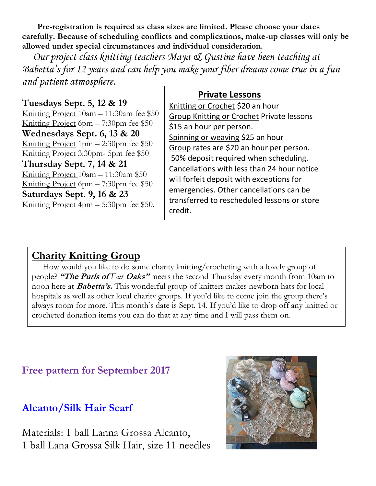**Pre-registration is required as class sizes are limited. Please choose your dates carefully. Because of scheduling conflicts and complications, make-up classes will only be allowed under special circumstances and individual consideration.**

*Our project class knitting teachers Maya & Gustine have been teaching at Babetta's for 12 years and can help you make your fiber dreams come true in a fun and patient atmosphere.*

#### **Tuesdays Sept. 5, 12 & 19**

Knitting Project 10am – 11:30am fee \$50 Knitting Project 6pm – 7:30pm fee \$50 **Wednesdays Sept. 6, 13 & 20** Knitting Project 1pm – 2:30pm fee \$50 Knitting Project 3:30pm- 5pm fee \$50 **Thursday Sept. 7, 14 & 21** Knitting Project 10am – 11:30am \$50 Knitting Project 6pm – 7:30pm fee \$50 **Saturdays Sept. 9, 16 & 23** Knitting Project 4pm – 5:30pm fee \$50.

#### **Private Lessons**

Knitting or Crochet \$20 an hour Group Knitting or Crochet Private lessons \$15 an hour per person. Spinning or weaving \$25 an hour Group rates are \$20 an hour per person. 50% deposit required when scheduling. Cancellations with less than 24 hour notice will forfeit deposit with exceptions for emergencies. Other cancellations can be transferred to rescheduled lessons or store credit.

## **Charity Knitting Group**

 How would you like to do some charity knitting/crocheting with a lovely group of people? **"The Purls of** Fair Oaks" meets the second Thursday every month from 10am to noon here at **Babetta's.** This wonderful group of knitters makes newborn hats for local hospitals as well as other local charity groups. If you'd like to come join the group there's always room for more. This month's date is Sept. 14. If you'd like to drop off any knitted or crocheted donation items you can do that at any time and I will pass them on.

## **Free pattern for September 2017**

## **Alcanto/Silk Hair Scarf**

Materials: 1 ball Lanna Grossa Alcanto, 1 ball Lana Grossa Silk Hair, size 11 needles